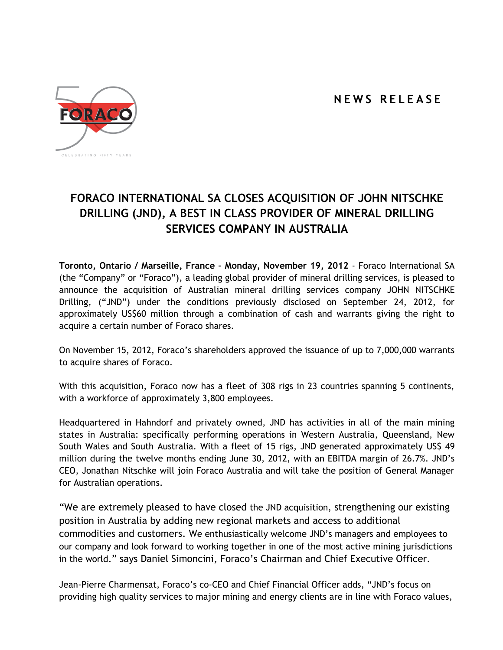## **N E W S R E L E A S E**



# **FORACO INTERNATIONAL SA CLOSES ACQUISITION OF JOHN NITSCHKE DRILLING (JND), A BEST IN CLASS PROVIDER OF MINERAL DRILLING SERVICES COMPANY IN AUSTRALIA**

**Toronto, Ontario / Marseille, France – Monday, November 19, 2012** - Foraco International SA (the "Company" or "Foraco"), a leading global provider of mineral drilling services, is pleased to announce the acquisition of Australian mineral drilling services company JOHN NITSCHKE Drilling, ("JND") under the conditions previously disclosed on September 24, 2012, for approximately US\$60 million through a combination of cash and warrants giving the right to acquire a certain number of Foraco shares.

On November 15, 2012, Foraco's shareholders approved the issuance of up to 7,000,000 warrants to acquire shares of Foraco.

With this acquisition, Foraco now has a fleet of 308 rigs in 23 countries spanning 5 continents, with a workforce of approximately 3,800 employees.

Headquartered in Hahndorf and privately owned, JND has activities in all of the main mining states in Australia: specifically performing operations in Western Australia, Queensland, New South Wales and South Australia. With a fleet of 15 rigs, JND generated approximately US\$ 49 million during the twelve months ending June 30, 2012, with an EBITDA margin of 26.7%. JND's CEO, Jonathan Nitschke will join Foraco Australia and will take the position of General Manager for Australian operations.

"We are extremely pleased to have closed the JND acquisition, strengthening our existing position in Australia by adding new regional markets and access to additional commodities and customers. We enthusiastically welcome JND's managers and employees to our company and look forward to working together in one of the most active mining jurisdictions in the world." says Daniel Simoncini, Foraco's Chairman and Chief Executive Officer.

Jean-Pierre Charmensat, Foraco's co-CEO and Chief Financial Officer adds, "JND's focus on providing high quality services to major mining and energy clients are in line with Foraco values,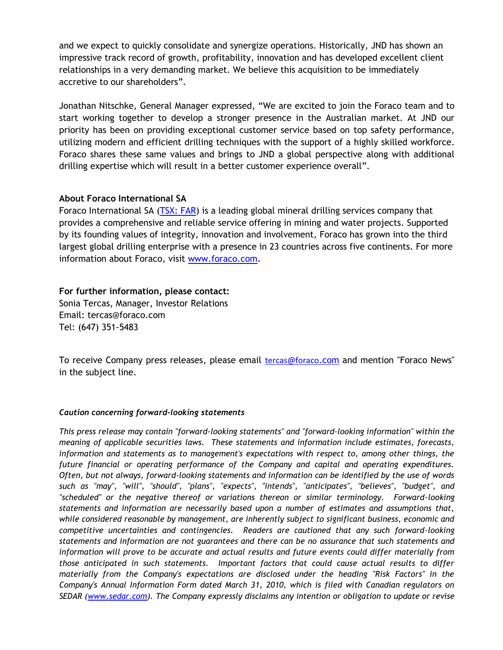and we expect to quickly consolidate and synergize operations. Historically, JND has shown an impressive track record of growth, profitability, innovation and has developed excellent client relationships in a very demanding market. We believe this acquisition to be immediately accretive to our shareholders".

Jonathan Nitschke, General Manager expressed, "We are excited to join the Foraco team and to start working together to develop a stronger presence in the Australian market. At JND our priority has been on providing exceptional customer service based on top safety performance, utilizing modern and efficient drilling techniques with the support of a highly skilled workforce. Foraco shares these same values and brings to JND a global perspective along with additional drilling expertise which will result in a better customer experience overall".

### **About Foraco International SA**

Foraco International SA (TSX: FAR) is a leading global mineral drilling services company that provides a comprehensive and reliable service offering in mining and water projects. Supported by its founding values of integrity, innovation and involvement, Foraco has grown into the third largest global drilling enterprise with a presence in 23 countries across five continents. For more information about Foraco, visit www.foraco.com.

### **For further information, please contact:**

Sonia Tercas, Manager, Investor Relations Email: tercas@foraco.com Tel: (647) 351-5483

To receive Company press releases, please email tercas@foraco.com and mention "Foraco News" in the subject line.

#### *Caution concerning forward-looking statements*

*This press release may contain "forward-looking statements" and "forward-looking information" within the meaning of applicable securities laws. These statements and information include estimates, forecasts, information and statements as to management's expectations with respect to, among other things, the future financial or operating performance of the Company and capital and operating expenditures. Often, but not always, forward-looking statements and information can be identified by the use of words such as "may", "will", "should", "plans", "expects", "intends", "anticipates", "believes", "budget", and "scheduled" or the negative thereof or variations thereon or similar terminology. Forward-looking statements and information are necessarily based upon a number of estimates and assumptions that, while considered reasonable by management, are inherently subject to significant business, economic and competitive uncertainties and contingencies. Readers are cautioned that any such forward-looking statements and information are not guarantees and there can be no assurance that such statements and information will prove to be accurate and actual results and future events could differ materially from those anticipated in such statements. Important factors that could cause actual results to differ materially from the Company's expectations are disclosed under the heading "Risk Factors" in the Company's Annual Information Form dated March 31, 2010, which is filed with Canadian regulators on SEDAR (www.sedar.com). The Company expressly disclaims any intention or obligation to update or revise*